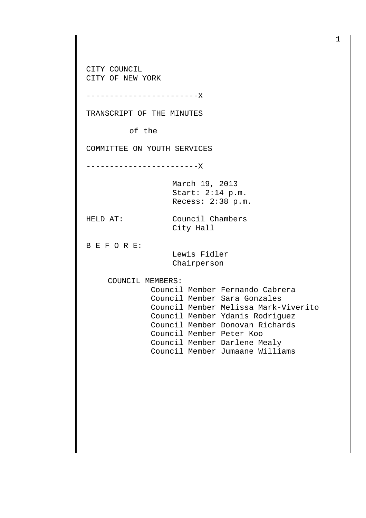CITY COUNCIL CITY OF NEW YORK

------------------------X

TRANSCRIPT OF THE MINUTES

of the

COMMITTEE ON YOUTH SERVICES

------------------------X

March 19, 2013 Start: 2:14 p.m. Recess: 2:38 p.m.

HELD AT: Council Chambers City Hall

B E F O R E:

 Lewis Fidler Chairperson

COUNCIL MEMBERS:

 Council Member Fernando Cabrera Council Member Sara Gonzales Council Member Melissa Mark-Viverito Council Member Ydanis Rodriguez Council Member Donovan Richards Council Member Peter Koo Council Member Darlene Mealy Council Member Jumaane Williams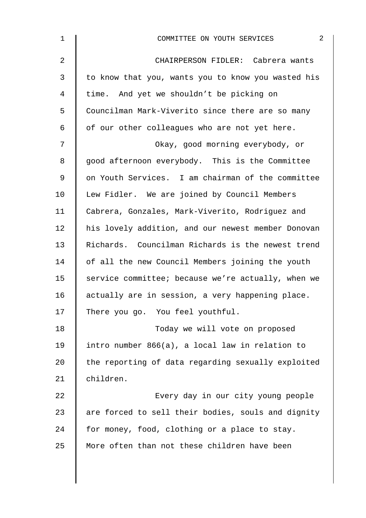| $\mathbf 1$ | $\overline{2}$<br>COMMITTEE ON YOUTH SERVICES      |
|-------------|----------------------------------------------------|
| 2           | CHAIRPERSON FIDLER: Cabrera wants                  |
| 3           | to know that you, wants you to know you wasted his |
| 4           | time. And yet we shouldn't be picking on           |
| 5           | Councilman Mark-Viverito since there are so many   |
| 6           | of our other colleagues who are not yet here.      |
| 7           | Okay, good morning everybody, or                   |
| 8           | good afternoon everybody. This is the Committee    |
| 9           | on Youth Services. I am chairman of the committee  |
| 10          | Lew Fidler. We are joined by Council Members       |
| 11          | Cabrera, Gonzales, Mark-Viverito, Rodriguez and    |
| 12          | his lovely addition, and our newest member Donovan |
| 13          | Richards. Councilman Richards is the newest trend  |
| 14          | of all the new Council Members joining the youth   |
| 15          | service committee; because we're actually, when we |
| 16          | actually are in session, a very happening place.   |
| 17          | There you go. You feel youthful.                   |
| 18          | Today we will vote on proposed                     |
| 19          | intro number 866(a), a local law in relation to    |
| 20          | the reporting of data regarding sexually exploited |
| 21          | children.                                          |
| 22          | Every day in our city young people                 |
| 23          | are forced to sell their bodies, souls and dignity |
| 24          | for money, food, clothing or a place to stay.      |
| 25          | More often than not these children have been       |
|             |                                                    |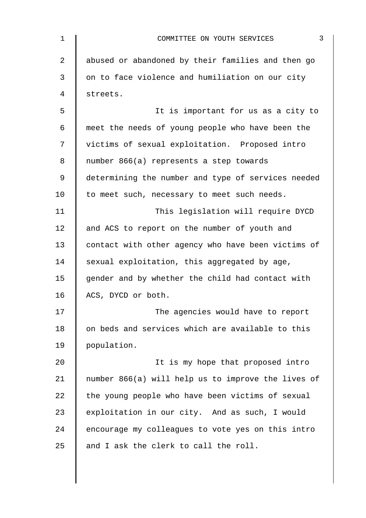| $\mathbf 1$ | 3<br>COMMITTEE ON YOUTH SERVICES                   |
|-------------|----------------------------------------------------|
| 2           | abused or abandoned by their families and then go  |
| 3           | on to face violence and humiliation on our city    |
| 4           | streets.                                           |
| 5           | It is important for us as a city to                |
| 6           | meet the needs of young people who have been the   |
| 7           | victims of sexual exploitation. Proposed intro     |
| 8           | number 866(a) represents a step towards            |
| 9           | determining the number and type of services needed |
| 10          | to meet such, necessary to meet such needs.        |
| 11          | This legislation will require DYCD                 |
| 12          | and ACS to report on the number of youth and       |
| 13          | contact with other agency who have been victims of |
| 14          | sexual exploitation, this aggregated by age,       |
| 15          | gender and by whether the child had contact with   |
| 16          | ACS, DYCD or both.                                 |
| 17          | The agencies would have to report                  |
| 18          | on beds and services which are available to this   |
| 19          | population.                                        |
| 20          | It is my hope that proposed intro                  |
| 21          | number 866(a) will help us to improve the lives of |
| 22          | the young people who have been victims of sexual   |
| 23          | exploitation in our city. And as such, I would     |
| 24          | encourage my colleagues to vote yes on this intro  |
| 25          | and I ask the clerk to call the roll.              |
|             |                                                    |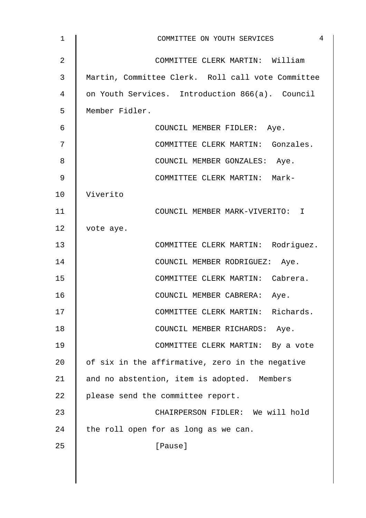| 1              | 4<br>COMMITTEE ON YOUTH SERVICES                  |
|----------------|---------------------------------------------------|
| $\overline{2}$ | COMMITTEE CLERK MARTIN: William                   |
| 3              | Martin, Committee Clerk. Roll call vote Committee |
| 4              | on Youth Services. Introduction 866(a). Council   |
| 5              | Member Fidler.                                    |
| 6              | COUNCIL MEMBER FIDLER: Aye.                       |
| 7              | COMMITTEE CLERK MARTIN: Gonzales.                 |
| 8              | COUNCIL MEMBER GONZALES: Aye.                     |
| 9              | COMMITTEE CLERK MARTIN: Mark-                     |
| 10             | Viverito                                          |
| 11             | COUNCIL MEMBER MARK-VIVERITO: I                   |
| 12             | vote aye.                                         |
| 13             | COMMITTEE CLERK MARTIN: Rodriguez.                |
| 14             | COUNCIL MEMBER RODRIGUEZ: Aye.                    |
| 15             | COMMITTEE CLERK MARTIN: Cabrera.                  |
| 16             | COUNCIL MEMBER CABRERA: Aye.                      |
| 17             | COMMITTEE CLERK MARTIN: Richards.                 |
| 18             | COUNCIL MEMBER RICHARDS: Aye.                     |
| 19             | COMMITTEE CLERK MARTIN: By a vote                 |
| 20             | of six in the affirmative, zero in the negative   |
| 21             | and no abstention, item is adopted. Members       |
| 22             | please send the committee report.                 |
| 23             | CHAIRPERSON FIDLER: We will hold                  |
| 24             | the roll open for as long as we can.              |
| 25             | [Pause]                                           |
|                |                                                   |
|                |                                                   |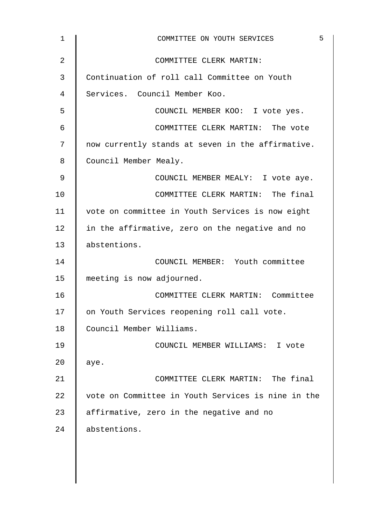| $\mathbf 1$    | COMMITTEE ON YOUTH SERVICES                        | 5 |
|----------------|----------------------------------------------------|---|
| $\overline{2}$ | COMMITTEE CLERK MARTIN:                            |   |
| 3              | Continuation of roll call Committee on Youth       |   |
| 4              | Services. Council Member Koo.                      |   |
| 5              | COUNCIL MEMBER KOO: I vote yes.                    |   |
| 6              | COMMITTEE CLERK MARTIN: The vote                   |   |
| 7              | now currently stands at seven in the affirmative.  |   |
| 8              | Council Member Mealy.                              |   |
| 9              | COUNCIL MEMBER MEALY: I vote aye.                  |   |
| 10             | COMMITTEE CLERK MARTIN: The final                  |   |
| 11             | vote on committee in Youth Services is now eight   |   |
| 12             | in the affirmative, zero on the negative and no    |   |
| 13             | abstentions.                                       |   |
| 14             | COUNCIL MEMBER: Youth committee                    |   |
| 15             | meeting is now adjourned.                          |   |
| 16             | COMMITTEE CLERK MARTIN: Committee                  |   |
| 17             | on Youth Services reopening roll call vote.        |   |
| 18             | Council Member Williams.                           |   |
| 19             | COUNCIL MEMBER WILLIAMS: I vote                    |   |
| 20             | aye.                                               |   |
| 21             | COMMITTEE CLERK MARTIN: The final                  |   |
| 22             | vote on Committee in Youth Services is nine in the |   |
| 23             | affirmative, zero in the negative and no           |   |
| 24             | abstentions.                                       |   |
|                |                                                    |   |
|                |                                                    |   |